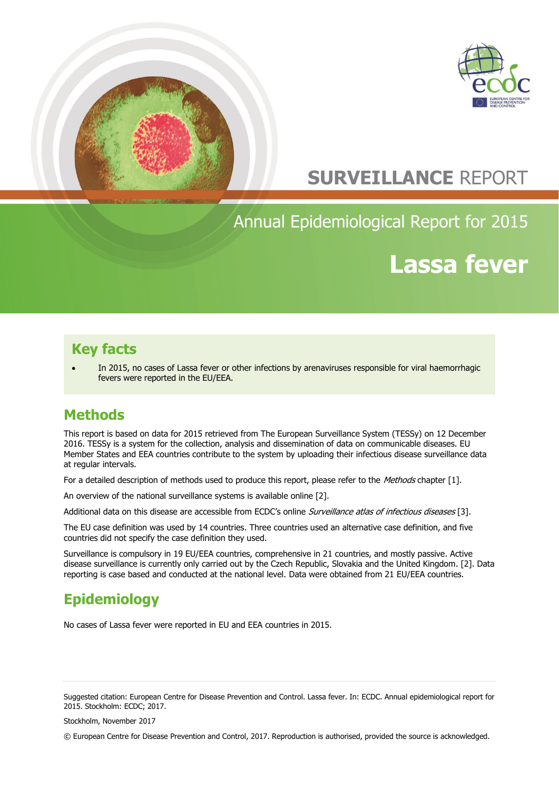



# **SURVEILLANCE** REPORT

# Annual Epidemiological Report for 2015

# **Lassa fever**

### **Key facts**

 In 2015, no cases of Lassa fever or other infections by arenaviruses responsible for viral haemorrhagic fevers were reported in the EU/EEA.

# **Methods**

This report is based on data for 2015 retrieved from The European Surveillance System (TESSy) on 12 December 2016. TESSy is a system for the collection, analysis and dissemination of data on communicable diseases. EU Member States and EEA countries contribute to the system by uploading their infectious disease surveillance data at regular intervals.

For a detailed description of methods used to produce this report, please refer to the Methods chapter [1].

An overview of the national surveillance systems is available online [2].

Additional data on this disease are accessible from ECDC's online Surveillance atlas of infectious diseases [3].

The EU case definition was used by 14 countries. Three countries used an alternative case definition, and five countries did not specify the case definition they used.

Surveillance is compulsory in 19 EU/EEA countries, comprehensive in 21 countries, and mostly passive. Active disease surveillance is currently only carried out by the Czech Republic, Slovakia and the United Kingdom. [2]. Data reporting is case based and conducted at the national level. Data were obtained from 21 EU/EEA countries.

# **Epidemiology**

No cases of Lassa fever were reported in EU and EEA countries in 2015.

Suggested citation: European Centre for Disease Prevention and Control. Lassa fever. In: ECDC. Annual epidemiological report for 2015. Stockholm: ECDC; 2017.

Stockholm, November 2017

© European Centre for Disease Prevention and Control, 2017. Reproduction is authorised, provided the source is acknowledged.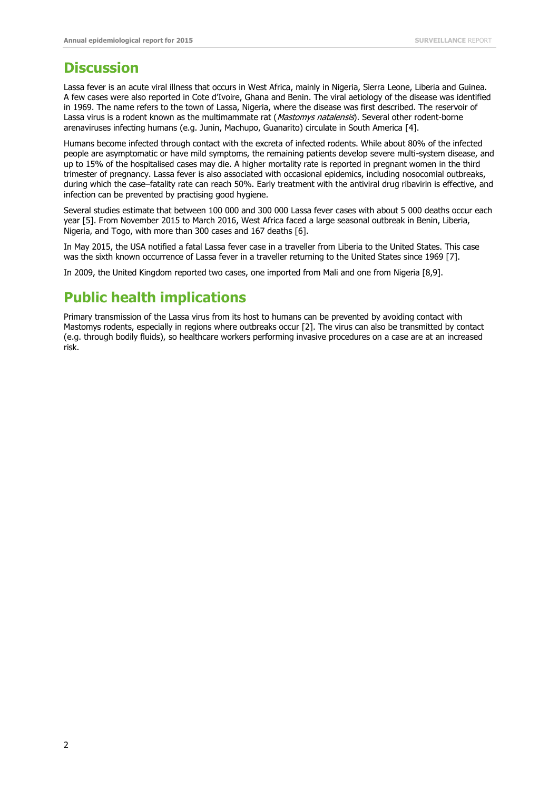### **Discussion**

Lassa fever is an acute viral illness that occurs in West Africa, mainly in Nigeria, Sierra Leone, Liberia and Guinea. A few cases were also reported in Cote d'Ivoire, Ghana and Benin. The viral aetiology of the disease was identified in 1969. The name refers to the town of Lassa, Nigeria, where the disease was first described. The reservoir of Lassa virus is a rodent known as the multimammate rat (Mastomys natalensis). Several other rodent-borne arenaviruses infecting humans (e.g. Junin, Machupo, Guanarito) circulate in South America [4].

Humans become infected through contact with the excreta of infected rodents. While about 80% of the infected people are asymptomatic or have mild symptoms, the remaining patients develop severe multi-system disease, and up to 15% of the hospitalised cases may die. A higher mortality rate is reported in pregnant women in the third trimester of pregnancy. Lassa fever is also associated with occasional epidemics, including nosocomial outbreaks, during which the case–fatality rate can reach 50%. Early treatment with the antiviral drug ribavirin is effective, and infection can be prevented by practising good hygiene.

Several studies estimate that between 100 000 and 300 000 Lassa fever cases with about 5 000 deaths occur each year [5]. From November 2015 to March 2016, West Africa faced a large seasonal outbreak in Benin, Liberia, Nigeria, and Togo, with more than 300 cases and 167 deaths [6].

In May 2015, the USA notified a fatal Lassa fever case in a traveller from Liberia to the United States. This case was the sixth known occurrence of Lassa fever in a traveller returning to the United States since 1969 [7].

In 2009, the United Kingdom reported two cases, one imported from Mali and one from Nigeria [8,9].

## **Public health implications**

Primary transmission of the Lassa virus from its host to humans can be prevented by avoiding contact with Mastomys rodents, especially in regions where outbreaks occur [2]. The virus can also be transmitted by contact (e.g. through bodily fluids), so healthcare workers performing invasive procedures on a case are at an increased risk.